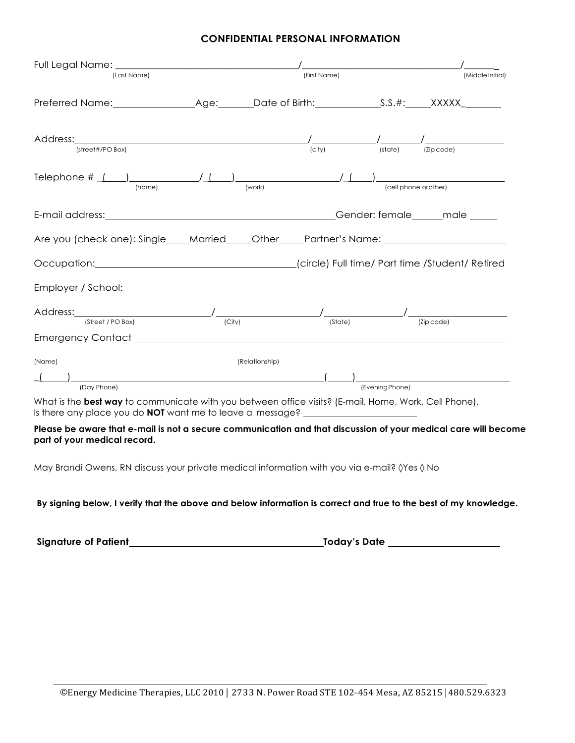## **CONFIDENTIAL PERSONAL INFORMATION**

| (Last Name)                                                                                                                                                                                                                 |                | (First Name) |                                                                                                                                                                                                                                                                                                                                                       | (Middle Initial) |
|-----------------------------------------------------------------------------------------------------------------------------------------------------------------------------------------------------------------------------|----------------|--------------|-------------------------------------------------------------------------------------------------------------------------------------------------------------------------------------------------------------------------------------------------------------------------------------------------------------------------------------------------------|------------------|
|                                                                                                                                                                                                                             |                |              |                                                                                                                                                                                                                                                                                                                                                       |                  |
| Address: Address:                                                                                                                                                                                                           |                | (city)       | $\frac{1}{2}$ $\frac{1}{2}$ $\frac{1}{2}$ $\frac{1}{2}$ $\frac{1}{2}$ $\frac{1}{2}$ $\frac{1}{2}$ $\frac{1}{2}$ $\frac{1}{2}$ $\frac{1}{2}$ $\frac{1}{2}$ $\frac{1}{2}$ $\frac{1}{2}$ $\frac{1}{2}$ $\frac{1}{2}$ $\frac{1}{2}$ $\frac{1}{2}$ $\frac{1}{2}$ $\frac{1}{2}$ $\frac{1}{2}$ $\frac{1}{2}$ $\frac{1}{2}$<br>$(\text{state})$<br>(Zip code) |                  |
| (street#/PO Box)                                                                                                                                                                                                            |                |              |                                                                                                                                                                                                                                                                                                                                                       |                  |
| Telephone # $($ $)$ $($ $)$ $($ $)$ $($ $)$ $($ $)$ $($ $)$ $($ $)$ $($ $)$ $($ $)$ $($ $)$ $($ $)$ $($ $)$ $($ $)$ $($ $)$ $($ $)$ $($ $)$ $($ $)$ $($ $)$ $($ $)$ $($ $)$ $($ $)$ $($ $)$ $($ $)$ $($ $)$ $($ $)$ $($ $)$ |                |              |                                                                                                                                                                                                                                                                                                                                                       |                  |
| (home)                                                                                                                                                                                                                      | (work)         |              | (cell phone orother)                                                                                                                                                                                                                                                                                                                                  |                  |
|                                                                                                                                                                                                                             |                |              |                                                                                                                                                                                                                                                                                                                                                       |                  |
| Are you (check one): Single____Married_____Other____Partner's Name: ________________________________                                                                                                                        |                |              |                                                                                                                                                                                                                                                                                                                                                       |                  |
|                                                                                                                                                                                                                             |                |              |                                                                                                                                                                                                                                                                                                                                                       |                  |
|                                                                                                                                                                                                                             |                |              |                                                                                                                                                                                                                                                                                                                                                       |                  |
|                                                                                                                                                                                                                             |                |              |                                                                                                                                                                                                                                                                                                                                                       |                  |
| (Street / PO Box)                                                                                                                                                                                                           | (City)         | (State)      | (Zip code)                                                                                                                                                                                                                                                                                                                                            |                  |
| (Name)                                                                                                                                                                                                                      | (Relationship) |              |                                                                                                                                                                                                                                                                                                                                                       |                  |
|                                                                                                                                                                                                                             |                |              |                                                                                                                                                                                                                                                                                                                                                       |                  |
| (Day Phone)                                                                                                                                                                                                                 |                |              | (Evening Phone)                                                                                                                                                                                                                                                                                                                                       |                  |

What is the **best way** to communicate with you between office visits? (E-mail, Home, Work, Cell Phone). Is there any place you do **NOT** want me to leave a message?

**Please be aware that e-mail is not a secure communication and that discussion of your medical care will become part of your medical record.**

May Brandi Owens, RN discuss your private medical information with you via e-mail? ◊Yes ◊ No

## **By signing below, I verify that the above and below information is correct and true to the best of my knowledge.**

**Signature of Patient Today's Date**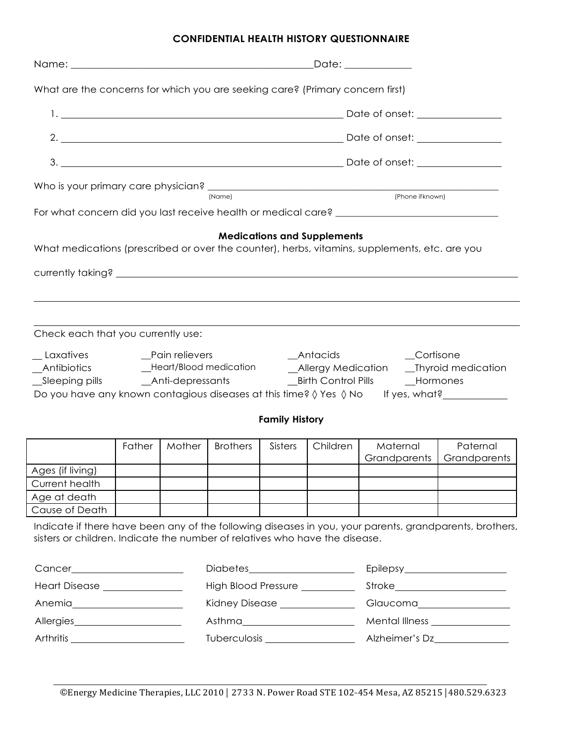## **CONFIDENTIAL HEALTH HISTORY QUESTIONNAIRE**

| What are the concerns for which you are seeking care? (Primary concern first)                                                                                                                                                                                                                 |        |        |                 |                       |                                    |                          |                          |  |
|-----------------------------------------------------------------------------------------------------------------------------------------------------------------------------------------------------------------------------------------------------------------------------------------------|--------|--------|-----------------|-----------------------|------------------------------------|--------------------------|--------------------------|--|
|                                                                                                                                                                                                                                                                                               |        |        |                 |                       |                                    |                          |                          |  |
|                                                                                                                                                                                                                                                                                               |        |        |                 |                       |                                    |                          |                          |  |
|                                                                                                                                                                                                                                                                                               |        |        |                 |                       |                                    |                          |                          |  |
|                                                                                                                                                                                                                                                                                               |        |        | (Name)          |                       |                                    | (Phone if known)         |                          |  |
|                                                                                                                                                                                                                                                                                               |        |        |                 |                       |                                    |                          |                          |  |
| What medications (prescribed or over the counter), herbs, vitamins, supplements, etc. are you                                                                                                                                                                                                 |        |        |                 |                       | <b>Medications and Supplements</b> |                          |                          |  |
| Check each that you currently use:                                                                                                                                                                                                                                                            |        |        |                 |                       |                                    |                          |                          |  |
| $\_\_$ Laxatives<br>_Pain relievers<br>_Antacids<br>_Cortisone<br>_Pain relievers<br>_Heart/Blood medication<br>_Allergy Medication<br>_Antibiotics<br>_Thyroid medication<br>_Hormones<br>Do you have any known contagious diseases at this time? $\Diamond$ Yes $\Diamond$ No If yes, what? |        |        |                 |                       |                                    |                          |                          |  |
|                                                                                                                                                                                                                                                                                               |        |        |                 | <b>Family History</b> |                                    |                          |                          |  |
|                                                                                                                                                                                                                                                                                               | Father | Mother | <b>Brothers</b> | Sisters               | Children                           | Maternal<br>Grandparents | Paternal<br>Grandparents |  |
| Ages (if living)                                                                                                                                                                                                                                                                              |        |        |                 |                       |                                    |                          |                          |  |
| Current health                                                                                                                                                                                                                                                                                |        |        |                 |                       |                                    |                          |                          |  |
| Age at death                                                                                                                                                                                                                                                                                  |        |        |                 |                       |                                    |                          |                          |  |
| Cause of Death                                                                                                                                                                                                                                                                                |        |        |                 |                       |                                    |                          |                          |  |
| Indicate if there have been any of the following diseases in you, your parents, grandparents, brothers,<br>sisters or children. Indicate the number of relatives who have the disease.                                                                                                        |        |        |                 |                       |                                    |                          |                          |  |

|                                                            | Diabetes____________________                                                                                   | Epilepsy____________________                                                                                                                                                                                                   |
|------------------------------------------------------------|----------------------------------------------------------------------------------------------------------------|--------------------------------------------------------------------------------------------------------------------------------------------------------------------------------------------------------------------------------|
| <b>Heart Disease</b>                                       | High Blood Pressure __________                                                                                 | Stroke_______________________                                                                                                                                                                                                  |
| Anemia                                                     | Kidney Disease <b>Access</b>                                                                                   | Glaucoma and the control of the control of the control of the control of the control of the control of the control of the control of the control of the control of the control of the control of the control of the control of |
| Allergies                                                  | Asthma and the contract of the contract of the contract of the contract of the contract of the contract of the | Mental Illness <b>Mental</b>                                                                                                                                                                                                   |
| Arthritis <b>Andrew School School School School School</b> | <b>Tuberculosis</b>                                                                                            | Alzheimer's Dz                                                                                                                                                                                                                 |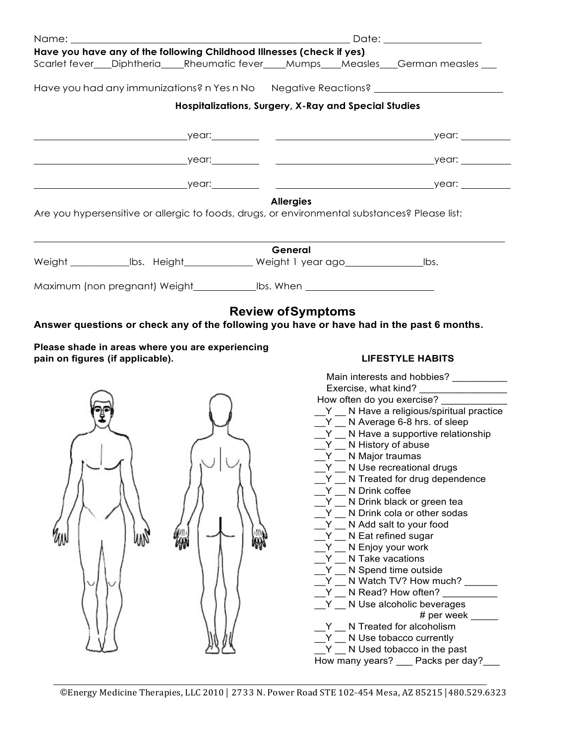| Name: _________                  |    |                                                                                                 |                           |                                           | Date: the contract of the contract of the contract of the contract of the contract of the contract of the contract of the contract of the contract of the contract of the contract of the contract of the contract of the cont |
|----------------------------------|----|-------------------------------------------------------------------------------------------------|---------------------------|-------------------------------------------|--------------------------------------------------------------------------------------------------------------------------------------------------------------------------------------------------------------------------------|
|                                  |    | Have you have any of the following Childhood Illnesses (check if yes)                           |                           |                                           |                                                                                                                                                                                                                                |
|                                  |    |                                                                                                 |                           |                                           | Scarlet fever___Diphtheria____Rheumatic fever____Mumps___Measles___German measles ___                                                                                                                                          |
|                                  |    |                                                                                                 |                           |                                           | Have you had any immunizations? n Yes n No  Negative Reactions? ________________                                                                                                                                               |
|                                  |    | Hospitalizations, Surgery, X-Ray and Special Studies                                            |                           |                                           |                                                                                                                                                                                                                                |
|                                  |    |                                                                                                 |                           |                                           |                                                                                                                                                                                                                                |
|                                  |    |                                                                                                 |                           |                                           |                                                                                                                                                                                                                                |
|                                  |    |                                                                                                 |                           |                                           |                                                                                                                                                                                                                                |
|                                  |    |                                                                                                 |                           |                                           |                                                                                                                                                                                                                                |
|                                  |    |                                                                                                 |                           |                                           |                                                                                                                                                                                                                                |
|                                  |    |                                                                                                 | <b>Allergies</b>          |                                           |                                                                                                                                                                                                                                |
|                                  |    | Are you hypersensitive or allergic to foods, drugs, or environmental substances? Please list:   |                           |                                           |                                                                                                                                                                                                                                |
|                                  |    |                                                                                                 |                           |                                           |                                                                                                                                                                                                                                |
|                                  |    |                                                                                                 | General                   |                                           |                                                                                                                                                                                                                                |
|                                  |    | Weight ________________lbs. Height_______________ Weight 1 year ago_________________________bs. |                           |                                           |                                                                                                                                                                                                                                |
|                                  |    | Maximum (non pregnant) Weight_______________bs. When ___________________________                |                           |                                           |                                                                                                                                                                                                                                |
|                                  |    |                                                                                                 |                           |                                           |                                                                                                                                                                                                                                |
|                                  |    |                                                                                                 | <b>Review of Symptoms</b> |                                           |                                                                                                                                                                                                                                |
|                                  |    | Answer questions or check any of the following you have or have had in the past 6 months.       |                           |                                           |                                                                                                                                                                                                                                |
|                                  |    | Please shade in areas where you are experiencing                                                |                           |                                           |                                                                                                                                                                                                                                |
| pain on figures (if applicable). |    |                                                                                                 |                           |                                           | <b>LIFESTYLE HABITS</b>                                                                                                                                                                                                        |
|                                  |    |                                                                                                 |                           |                                           | Main interests and hobbies? ___________                                                                                                                                                                                        |
|                                  |    |                                                                                                 |                           |                                           | How often do you exercise?                                                                                                                                                                                                     |
|                                  |    |                                                                                                 |                           |                                           | Y _ N Have a religious/spiritual practice                                                                                                                                                                                      |
|                                  |    |                                                                                                 |                           |                                           | $Y$ N Average 6-8 hrs. of sleep                                                                                                                                                                                                |
|                                  |    |                                                                                                 |                           |                                           | $Y$ $\blacksquare$ N Have a supportive relationship                                                                                                                                                                            |
|                                  |    |                                                                                                 |                           | $Y$ N History of abuse<br>N Major traumas |                                                                                                                                                                                                                                |
|                                  |    |                                                                                                 |                           |                                           | N Use recreational drugs                                                                                                                                                                                                       |
|                                  |    |                                                                                                 |                           |                                           | N Treated for drug dependence                                                                                                                                                                                                  |
|                                  |    |                                                                                                 |                           | N Drink coffee                            |                                                                                                                                                                                                                                |
|                                  |    |                                                                                                 |                           |                                           | Y N Drink black or green tea<br>Y N Drink cola or other sodas                                                                                                                                                                  |
|                                  |    |                                                                                                 |                           |                                           | Y _ N Add salt to your food                                                                                                                                                                                                    |
|                                  |    |                                                                                                 |                           | Y N Eat refined sugar                     |                                                                                                                                                                                                                                |
|                                  | WW |                                                                                                 |                           | $Y$ $\blacksquare$ N Enjoy your work      |                                                                                                                                                                                                                                |
|                                  |    |                                                                                                 |                           | Y N Take vacations                        |                                                                                                                                                                                                                                |
|                                  |    |                                                                                                 |                           | Y N Spend time outside                    |                                                                                                                                                                                                                                |
|                                  |    |                                                                                                 |                           |                                           | Y __ N Watch TV? How much? ____                                                                                                                                                                                                |
|                                  |    |                                                                                                 |                           |                                           | $Y$ N Read? How often?<br>Y _ N Use alcoholic beverages                                                                                                                                                                        |
|                                  |    |                                                                                                 |                           |                                           | # per week $\_\_$                                                                                                                                                                                                              |
|                                  |    |                                                                                                 |                           |                                           | Y N Treated for alcoholism                                                                                                                                                                                                     |
|                                  |    |                                                                                                 |                           |                                           | N Use tobacco currently                                                                                                                                                                                                        |
|                                  |    |                                                                                                 |                           | Y.                                        | N Used tobacco in the past                                                                                                                                                                                                     |
|                                  |    |                                                                                                 |                           |                                           | How many years? __ Packs per day?                                                                                                                                                                                              |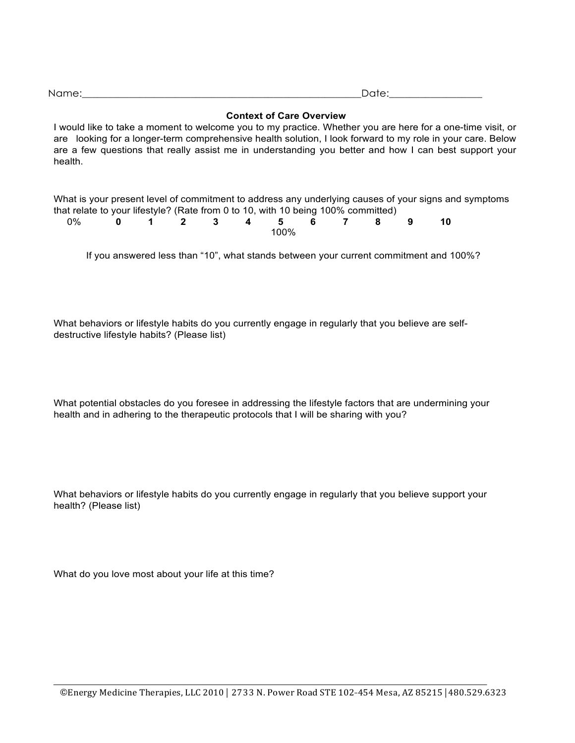| <b>Context of Care Overview</b>                                                                                                                                                                                                                                                                                                              |
|----------------------------------------------------------------------------------------------------------------------------------------------------------------------------------------------------------------------------------------------------------------------------------------------------------------------------------------------|
| I would like to take a moment to welcome you to my practice. Whether you are here for a one-time visit, or<br>are looking for a longer-term comprehensive health solution, I look forward to my role in your care. Below<br>are a few questions that really assist me in understanding you better and how I can best support your<br>health. |
| What is your present level of commitment to address any underlying causes of your signs and symptoms<br>that relate to your lifestyle? (Rate from 0 to 10, with 10 being 100% committed)                                                                                                                                                     |

Name:\_\_\_\_\_\_\_\_\_\_\_\_\_\_\_\_\_\_\_\_\_\_\_\_\_\_\_\_\_\_\_\_\_\_\_\_\_\_\_\_\_\_\_\_\_\_\_\_\_\_\_\_\_\_Date:\_\_\_\_\_\_\_\_\_\_\_\_\_\_\_\_\_\_

| 0% 0 1 2 3 4 5 6 7 8 9 10 |  |  |      |  |  |  |
|---------------------------|--|--|------|--|--|--|
|                           |  |  | 100% |  |  |  |

If you answered less than "10", what stands between your current commitment and 100%?

What behaviors or lifestyle habits do you currently engage in regularly that you believe are selfdestructive lifestyle habits? (Please list)

What potential obstacles do you foresee in addressing the lifestyle factors that are undermining your health and in adhering to the therapeutic protocols that I will be sharing with you?

What behaviors or lifestyle habits do you currently engage in regularly that you believe support your health? (Please list)

What do you love most about your life at this time?